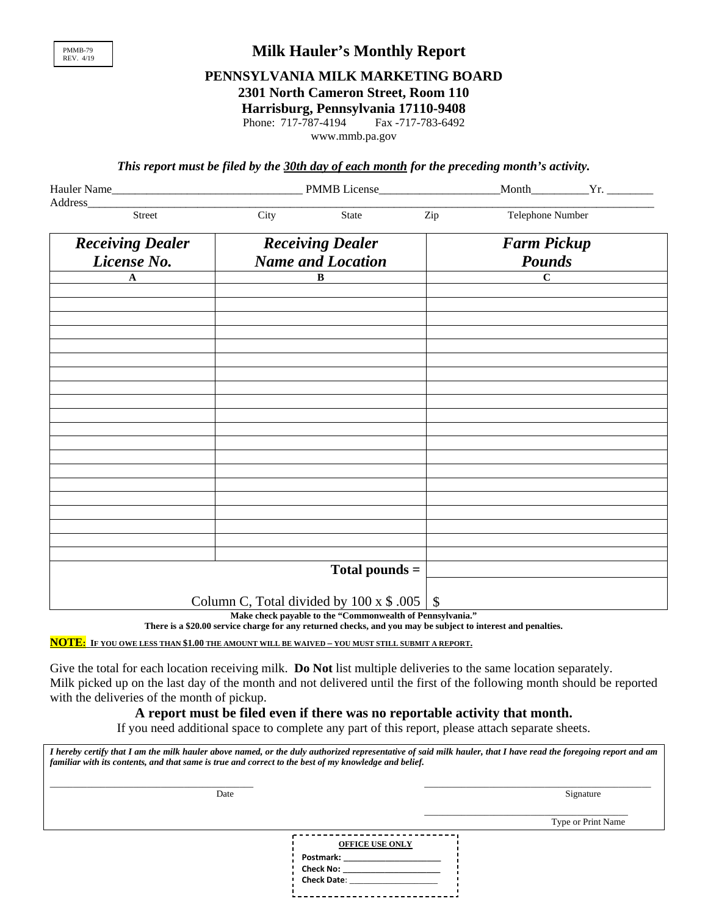

## **Milk Hauler's Monthly Report**

# **PENNSYLVANIA MILK MARKETING BOARD**

**2301 North Cameron Street, Room 110** 

**Harrisburg, Pennsylvania 17110-9408** 

Phone: 717-787-4194 Fax -717-783-6492

www.mmb.pa.gov

*This report must be filed by the 30th day of each month for the preceding month's activity.* 

|                                                                                                                                                                                                                                          |      | $Month$ $Yr.$                                             |     |                    |  |
|------------------------------------------------------------------------------------------------------------------------------------------------------------------------------------------------------------------------------------------|------|-----------------------------------------------------------|-----|--------------------|--|
| Address and the contract of the contract of the contract of the contract of the contract of the contract of the contract of the contract of the contract of the contract of the contract of the contract of the contract of th<br>Street | City | State                                                     | Zip | Telephone Number   |  |
|                                                                                                                                                                                                                                          |      |                                                           |     |                    |  |
| <b>Receiving Dealer</b>                                                                                                                                                                                                                  |      | <b>Receiving Dealer</b>                                   |     | <b>Farm Pickup</b> |  |
| License No.                                                                                                                                                                                                                              |      | <b>Name and Location</b>                                  |     | <b>Pounds</b>      |  |
| $\mathbf A$                                                                                                                                                                                                                              |      | $\bf{B}$                                                  |     | $\mathbf C$        |  |
|                                                                                                                                                                                                                                          |      |                                                           |     |                    |  |
|                                                                                                                                                                                                                                          |      |                                                           |     |                    |  |
|                                                                                                                                                                                                                                          |      |                                                           |     |                    |  |
|                                                                                                                                                                                                                                          |      |                                                           |     |                    |  |
|                                                                                                                                                                                                                                          |      |                                                           |     |                    |  |
|                                                                                                                                                                                                                                          |      |                                                           |     |                    |  |
|                                                                                                                                                                                                                                          |      |                                                           |     |                    |  |
|                                                                                                                                                                                                                                          |      |                                                           |     |                    |  |
|                                                                                                                                                                                                                                          |      |                                                           |     |                    |  |
|                                                                                                                                                                                                                                          |      |                                                           |     |                    |  |
|                                                                                                                                                                                                                                          |      |                                                           |     |                    |  |
|                                                                                                                                                                                                                                          |      |                                                           |     |                    |  |
|                                                                                                                                                                                                                                          |      |                                                           |     |                    |  |
|                                                                                                                                                                                                                                          |      |                                                           |     |                    |  |
|                                                                                                                                                                                                                                          |      |                                                           |     |                    |  |
|                                                                                                                                                                                                                                          |      |                                                           |     |                    |  |
|                                                                                                                                                                                                                                          |      | Total pounds $=$                                          |     |                    |  |
|                                                                                                                                                                                                                                          |      |                                                           |     |                    |  |
|                                                                                                                                                                                                                                          |      | Column C, Total divided by $100 \times$ \$ .005           | \$  |                    |  |
|                                                                                                                                                                                                                                          |      | Make check payable to the "Commonwealth of Pennsylvania." |     |                    |  |

**There is a \$20.00 service charge for any returned checks, and you may be subject to interest and penalties.** 

**NOTE: IF YOU OWE LESS THAN \$1.00 THE AMOUNT WILL BE WAIVED – YOU MUST STILL SUBMIT A REPORT.** 

Give the total for each location receiving milk. **Do Not** list multiple deliveries to the same location separately. Milk picked up on the last day of the month and not delivered until the first of the following month should be reported with the deliveries of the month of pickup.

#### **A report must be filed even if there was no reportable activity that month.**

If you need additional space to complete any part of this report, please attach separate sheets.

*I hereby certify that I am the milk hauler above named, or the duly authorized representative of said milk hauler, that I have read the foregoing report and am familiar with its contents, and that same is true and correct to the best of my knowledge and belief.* 

 $\_$ 

- - - - - - - - - - - - - - - - - -

**Postmark: \_\_\_\_\_\_\_\_\_\_\_\_\_\_\_\_\_\_\_\_\_ Check No: \_\_\_\_\_\_\_\_\_\_\_\_\_\_\_\_\_\_\_\_\_ Check Date**: \_\_\_\_\_\_\_\_\_\_\_\_\_\_\_\_\_\_\_

 $\Box$ 

Date Signature Signature Signature Signature Signature Signature Signature Signature Signature Signature Signature Signature Signature Signature Signature Signature Signature Signature Signature Signature Signature Signatu

| ----------------       |  |
|------------------------|--|
| <b>OFFICE USE ONLY</b> |  |
|                        |  |
| .,                     |  |
|                        |  |

Type or Print Name